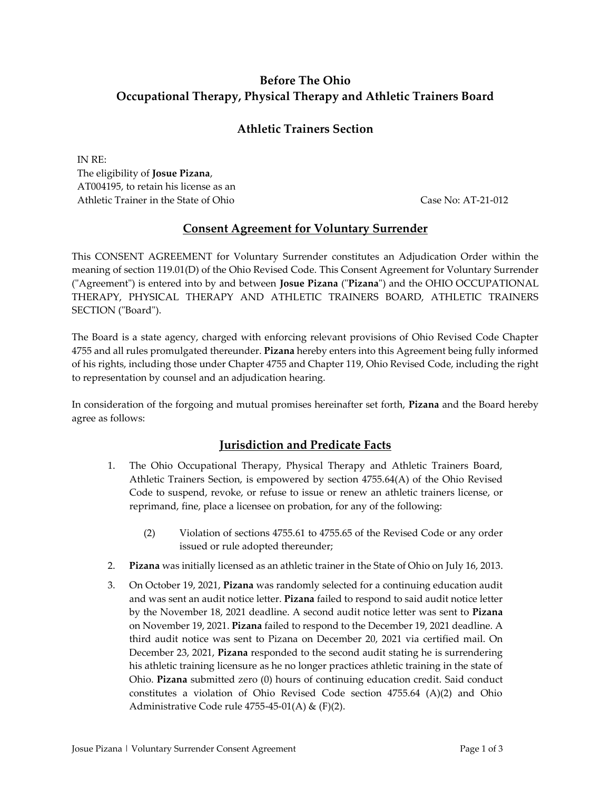# **Before The Ohio Occupational Therapy, Physical Therapy and Athletic Trainers Board**

## **Athletic Trainers Section**

IN RE: The eligibility of **Josue Pizana**, AT004195, to retain his license as an Athletic Trainer in the State of Ohio Case No: AT-21-012

## **Consent Agreement for Voluntary Surrender**

This CONSENT AGREEMENT for Voluntary Surrender constitutes an Adjudication Order within the meaning of section 119.01(D) of the Ohio Revised Code. This Consent Agreement for Voluntary Surrender ("Agreement") is entered into by and between **Josue Pizana** ("**Pizana**") and the OHIO OCCUPATIONAL THERAPY, PHYSICAL THERAPY AND ATHLETIC TRAINERS BOARD, ATHLETIC TRAINERS SECTION ("Board").

The Board is a state agency, charged with enforcing relevant provisions of Ohio Revised Code Chapter 4755 and all rules promulgated thereunder. **Pizana** hereby enters into this Agreement being fully informed of his rights, including those under Chapter 4755 and Chapter 119, Ohio Revised Code, including the right to representation by counsel and an adjudication hearing.

In consideration of the forgoing and mutual promises hereinafter set forth, **Pizana** and the Board hereby agree as follows:

### **Jurisdiction and Predicate Facts**

- 1. The Ohio Occupational Therapy, Physical Therapy and Athletic Trainers Board, Athletic Trainers Section, is empowered by section 4755.64(A) of the Ohio Revised Code to suspend, revoke, or refuse to issue or renew an athletic trainers license, or reprimand, fine, place a licensee on probation, for any of the following:
	- (2) Violation of sections 4755.61 to 4755.65 of the Revised Code or any order issued or rule adopted thereunder;
- 2. **Pizana** was initially licensed as an athletic trainer in the State of Ohio on July 16, 2013.
- 3. On October 19, 2021, **Pizana** was randomly selected for a continuing education audit and was sent an audit notice letter. **Pizana** failed to respond to said audit notice letter by the November 18, 2021 deadline. A second audit notice letter was sent to **Pizana** on November 19, 2021. **Pizana** failed to respond to the December 19, 2021 deadline. A third audit notice was sent to Pizana on December 20, 2021 via certified mail. On December 23, 2021, **Pizana** responded to the second audit stating he is surrendering his athletic training licensure as he no longer practices athletic training in the state of Ohio. **Pizana** submitted zero (0) hours of continuing education credit. Said conduct constitutes a violation of Ohio Revised Code section 4755.64 (A)(2) and Ohio Administrative Code rule 4755-45-01(A) & (F)(2).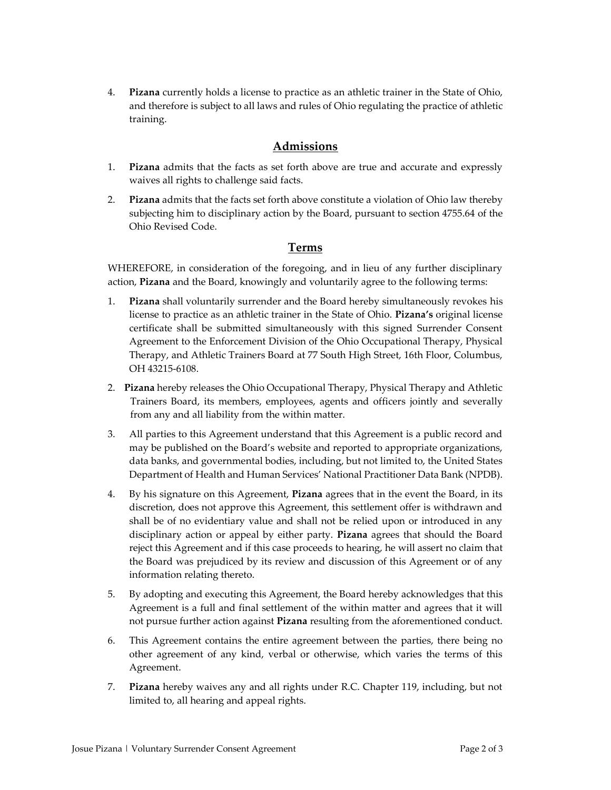4. **Pizana** currently holds a license to practice as an athletic trainer in the State of Ohio, and therefore is subject to all laws and rules of Ohio regulating the practice of athletic training.

## **Admissions**

- 1. **Pizana** admits that the facts as set forth above are true and accurate and expressly waives all rights to challenge said facts.
- 2. **Pizana** admits that the facts set forth above constitute a violation of Ohio law thereby subjecting him to disciplinary action by the Board, pursuant to section 4755.64 of the Ohio Revised Code.

#### **Terms**

WHEREFORE, in consideration of the foregoing, and in lieu of any further disciplinary action, **Pizana** and the Board, knowingly and voluntarily agree to the following terms:

- 1. **Pizana** shall voluntarily surrender and the Board hereby simultaneously revokes his license to practice as an athletic trainer in the State of Ohio. **Pizana's** original license certificate shall be submitted simultaneously with this signed Surrender Consent Agreement to the Enforcement Division of the Ohio Occupational Therapy, Physical Therapy, and Athletic Trainers Board at 77 South High Street, 16th Floor, Columbus, OH 43215-6108.
- 2. **Pizana** hereby releases the Ohio Occupational Therapy, Physical Therapy and Athletic Trainers Board, its members, employees, agents and officers jointly and severally from any and all liability from the within matter.
- 3. All parties to this Agreement understand that this Agreement is a public record and may be published on the Board's website and reported to appropriate organizations, data banks, and governmental bodies, including, but not limited to, the United States Department of Health and Human Services' National Practitioner Data Bank (NPDB).
- 4. By his signature on this Agreement, **Pizana** agrees that in the event the Board, in its discretion, does not approve this Agreement, this settlement offer is withdrawn and shall be of no evidentiary value and shall not be relied upon or introduced in any disciplinary action or appeal by either party. **Pizana** agrees that should the Board reject this Agreement and if this case proceeds to hearing, he will assert no claim that the Board was prejudiced by its review and discussion of this Agreement or of any information relating thereto.
- 5. By adopting and executing this Agreement, the Board hereby acknowledges that this Agreement is a full and final settlement of the within matter and agrees that it will not pursue further action against **Pizana** resulting from the aforementioned conduct.
- 6. This Agreement contains the entire agreement between the parties, there being no other agreement of any kind, verbal or otherwise, which varies the terms of this Agreement.
- 7. **Pizana** hereby waives any and all rights under R.C. Chapter 119, including, but not limited to, all hearing and appeal rights.